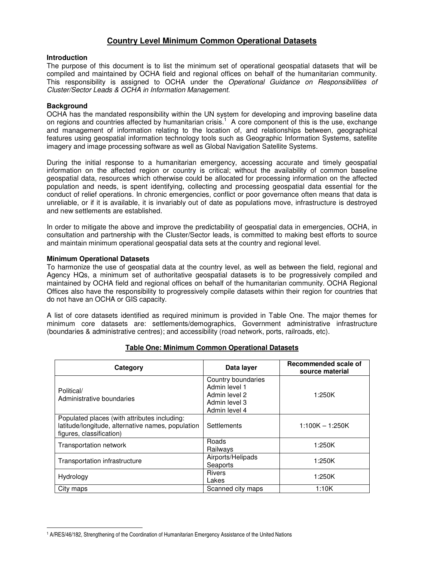# **Country Level Minimum Common Operational Datasets**

### **Introduction**

The purpose of this document is to list the minimum set of operational geospatial datasets that will be compiled and maintained by OCHA field and regional offices on behalf of the humanitarian community. This responsibility is assigned to OCHA under the Operational Guidance on Responsibilities of Cluster/Sector Leads & OCHA in Information Management.

## **Background**

 $\overline{a}$ 

OCHA has the mandated responsibility within the UN system for developing and improving baseline data on regions and countries affected by humanitarian crisis.<sup>1</sup> A core component of this is the use, exchange and management of information relating to the location of, and relationships between, geographical features using geospatial information technology tools such as Geographic Information Systems, satellite imagery and image processing software as well as Global Navigation Satellite Systems.

During the initial response to a humanitarian emergency, accessing accurate and timely geospatial information on the affected region or country is critical; without the availability of common baseline geospatial data, resources which otherwise could be allocated for processing information on the affected population and needs, is spent identifying, collecting and processing geospatial data essential for the conduct of relief operations. In chronic emergencies, conflict or poor governance often means that data is unreliable, or if it is available, it is invariably out of date as populations move, infrastructure is destroyed and new settlements are established.

In order to mitigate the above and improve the predictability of geospatial data in emergencies, OCHA, in consultation and partnership with the Cluster/Sector leads, is committed to making best efforts to source and maintain minimum operational geospatial data sets at the country and regional level.

### **Minimum Operational Datasets**

To harmonize the use of geospatial data at the country level, as well as between the field, regional and Agency HQs, a minimum set of authoritative geospatial datasets is to be progressively compiled and maintained by OCHA field and regional offices on behalf of the humanitarian community. OCHA Regional Offices also have the responsibility to progressively compile datasets within their region for countries that do not have an OCHA or GIS capacity.

A list of core datasets identified as required minimum is provided in Table One. The major themes for minimum core datasets are: settlements/demographics, Government administrative infrastructure (boundaries & administrative centres); and accessibility (road network, ports, railroads, etc).

| Category                                                                                                                      | Data layer                                                                             | Recommended scale of<br>source material |
|-------------------------------------------------------------------------------------------------------------------------------|----------------------------------------------------------------------------------------|-----------------------------------------|
| Political/<br>Administrative boundaries                                                                                       | Country boundaries<br>Admin level 1<br>Admin level 2<br>Admin level 3<br>Admin level 4 | 1:250K                                  |
| Populated places (with attributes including:<br>latitude/longitude, alternative names, population<br>figures, classification) | <b>Settlements</b>                                                                     | $1:100K - 1:250K$                       |
| Transportation network                                                                                                        | Roads<br>Railways                                                                      | 1:250K                                  |
| Transportation infrastructure                                                                                                 | Airports/Helipads<br>Seaports                                                          | 1:250K                                  |
| Hydrology                                                                                                                     | <b>Rivers</b><br>Lakes                                                                 | 1:250K                                  |
| City maps                                                                                                                     | Scanned city maps                                                                      | 1:10K                                   |

# **Table One: Minimum Common Operational Datasets**

<sup>1</sup> A/RES/46/182, Strengthening of the Coordination of Humanitarian Emergency Assistance of the United Nations